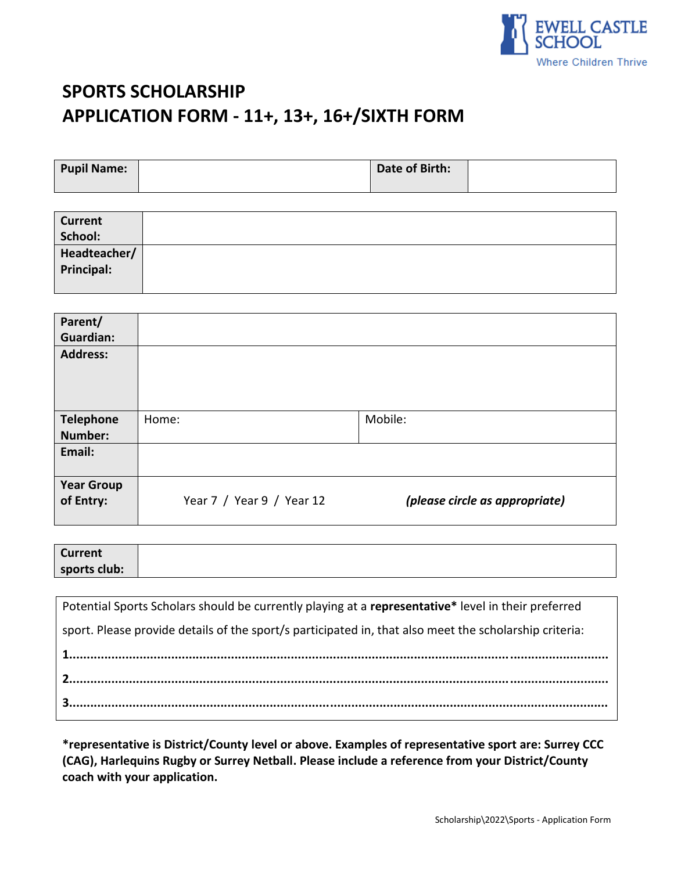

# **SPORTS SCHOLARSHIP APPLICATION FORM - 11+, 13+, 16+/SIXTH FORM**

**Principal:**

| <b>Pupil Name:</b> | Date of Birth: |  |
|--------------------|----------------|--|
|                    |                |  |
| <b>Current</b>     |                |  |
| School:            |                |  |
| Headteacher/       |                |  |

| Parent/                             |                           |                                |
|-------------------------------------|---------------------------|--------------------------------|
| <b>Guardian:</b><br><b>Address:</b> |                           |                                |
|                                     |                           |                                |
|                                     |                           |                                |
| <b>Telephone</b>                    | Home:                     | Mobile:                        |
| Number:                             |                           |                                |
| Email:                              |                           |                                |
| <b>Year Group</b><br>of Entry:      | Year 7 / Year 9 / Year 12 | (please circle as appropriate) |

| <b>Current</b> |  |  |
|----------------|--|--|
| sports club:   |  |  |

| Potential Sports Scholars should be currently playing at a representative* level in their preferred    |
|--------------------------------------------------------------------------------------------------------|
| sport. Please provide details of the sport/s participated in, that also meet the scholarship criteria: |
|                                                                                                        |
|                                                                                                        |
|                                                                                                        |

**\*representative is District/County level or above. Examples of representative sport are: Surrey CCC (CAG), Harlequins Rugby or Surrey Netball. Please include a reference from your District/County coach with your application.**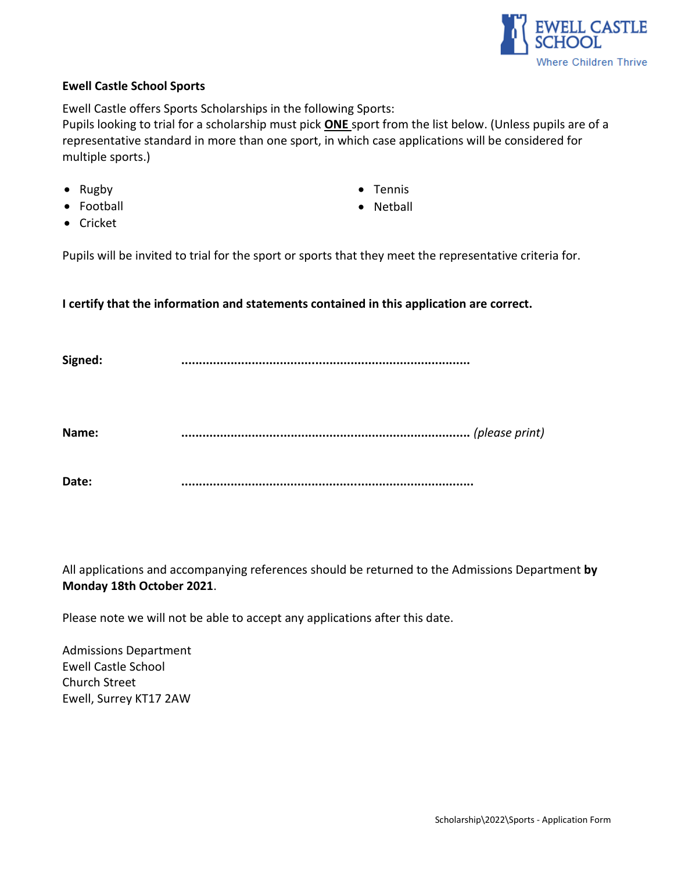

## **Ewell Castle School Sports**

Ewell Castle offers Sports Scholarships in the following Sports:

Pupils looking to trial for a scholarship must pick **ONE** sport from the list below. (Unless pupils are of a representative standard in more than one sport, in which case applications will be considered for multiple sports.)

- Rugby
- Football
- Tennis
- Netball

• Cricket

Pupils will be invited to trial for the sport or sports that they meet the representative criteria for.

## **I certify that the information and statements contained in this application are correct.**

| Signed: |                |
|---------|----------------|
| Name:   | (please print) |
| Date:   |                |

All applications and accompanying references should be returned to the Admissions Department **by Monday 18th October 2021**.

Please note we will not be able to accept any applications after this date.

Admissions Department Ewell Castle School Church Street Ewell, Surrey KT17 2AW